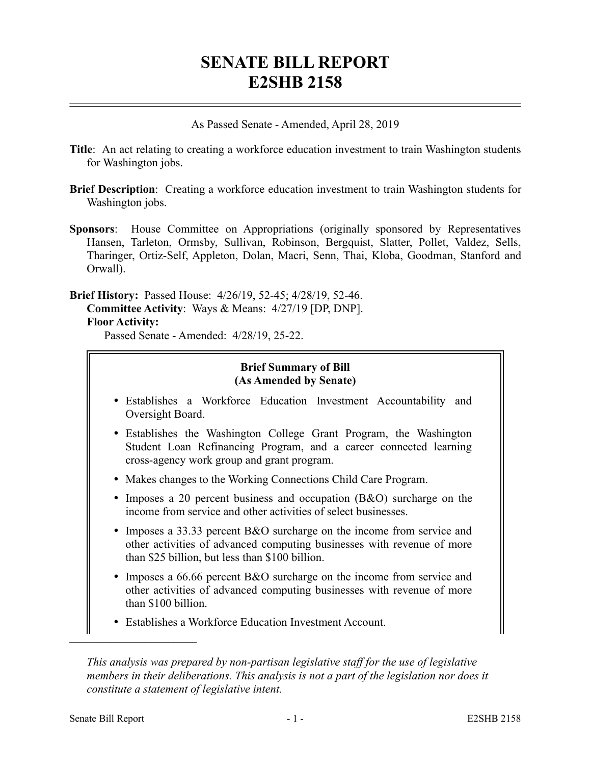# **SENATE BILL REPORT E2SHB 2158**

As Passed Senate - Amended, April 28, 2019

- **Title**: An act relating to creating a workforce education investment to train Washington students for Washington jobs.
- **Brief Description**: Creating a workforce education investment to train Washington students for Washington jobs.
- **Sponsors**: House Committee on Appropriations (originally sponsored by Representatives Hansen, Tarleton, Ormsby, Sullivan, Robinson, Bergquist, Slatter, Pollet, Valdez, Sells, Tharinger, Ortiz-Self, Appleton, Dolan, Macri, Senn, Thai, Kloba, Goodman, Stanford and Orwall).

**Brief History:** Passed House: 4/26/19, 52-45; 4/28/19, 52-46. **Committee Activity**: Ways & Means: 4/27/19 [DP, DNP]. **Floor Activity:**

Passed Senate - Amended: 4/28/19, 25-22.

### **Brief Summary of Bill (As Amended by Senate)**

- Establishes a Workforce Education Investment Accountability and Oversight Board.
- Establishes the Washington College Grant Program, the Washington Student Loan Refinancing Program, and a career connected learning cross-agency work group and grant program.
- Makes changes to the Working Connections Child Care Program.
- Imposes a 20 percent business and occupation (B&O) surcharge on the income from service and other activities of select businesses.
- Imposes a 33.33 percent B&O surcharge on the income from service and other activities of advanced computing businesses with revenue of more than \$25 billion, but less than \$100 billion.
- Imposes a 66.66 percent B&O surcharge on the income from service and other activities of advanced computing businesses with revenue of more than \$100 billion.
- Establishes a Workforce Education Investment Account.

––––––––––––––––––––––

*This analysis was prepared by non-partisan legislative staff for the use of legislative members in their deliberations. This analysis is not a part of the legislation nor does it constitute a statement of legislative intent.*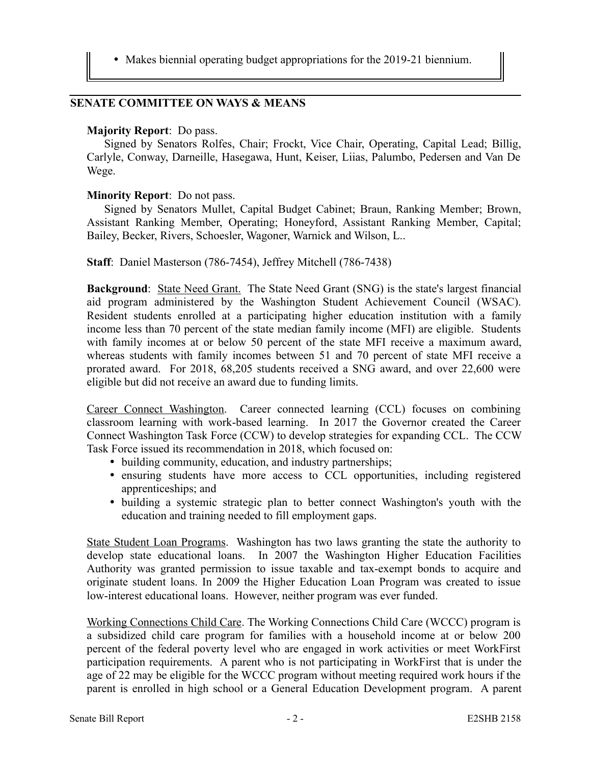Makes biennial operating budget appropriations for the 2019-21 biennium.

## **SENATE COMMITTEE ON WAYS & MEANS**

#### **Majority Report**: Do pass.

Signed by Senators Rolfes, Chair; Frockt, Vice Chair, Operating, Capital Lead; Billig, Carlyle, Conway, Darneille, Hasegawa, Hunt, Keiser, Liias, Palumbo, Pedersen and Van De Wege.

#### **Minority Report**: Do not pass.

Signed by Senators Mullet, Capital Budget Cabinet; Braun, Ranking Member; Brown, Assistant Ranking Member, Operating; Honeyford, Assistant Ranking Member, Capital; Bailey, Becker, Rivers, Schoesler, Wagoner, Warnick and Wilson, L..

**Staff**: Daniel Masterson (786-7454), Jeffrey Mitchell (786-7438)

**Background**: State Need Grant. The State Need Grant (SNG) is the state's largest financial aid program administered by the Washington Student Achievement Council (WSAC). Resident students enrolled at a participating higher education institution with a family income less than 70 percent of the state median family income (MFI) are eligible. Students with family incomes at or below 50 percent of the state MFI receive a maximum award, whereas students with family incomes between 51 and 70 percent of state MFI receive a prorated award. For 2018, 68,205 students received a SNG award, and over 22,600 were eligible but did not receive an award due to funding limits.

Career Connect Washington. Career connected learning (CCL) focuses on combining classroom learning with work-based learning. In 2017 the Governor created the Career Connect Washington Task Force (CCW) to develop strategies for expanding CCL. The CCW Task Force issued its recommendation in 2018, which focused on:

- building community, education, and industry partnerships;
- ensuring students have more access to CCL opportunities, including registered apprenticeships; and
- building a systemic strategic plan to better connect Washington's youth with the education and training needed to fill employment gaps.

State Student Loan Programs. Washington has two laws granting the state the authority to develop state educational loans. In 2007 the Washington Higher Education Facilities Authority was granted permission to issue taxable and tax-exempt bonds to acquire and originate student loans. In 2009 the Higher Education Loan Program was created to issue low-interest educational loans. However, neither program was ever funded.

Working Connections Child Care. The Working Connections Child Care (WCCC) program is a subsidized child care program for families with a household income at or below 200 percent of the federal poverty level who are engaged in work activities or meet WorkFirst participation requirements. A parent who is not participating in WorkFirst that is under the age of 22 may be eligible for the WCCC program without meeting required work hours if the parent is enrolled in high school or a General Education Development program. A parent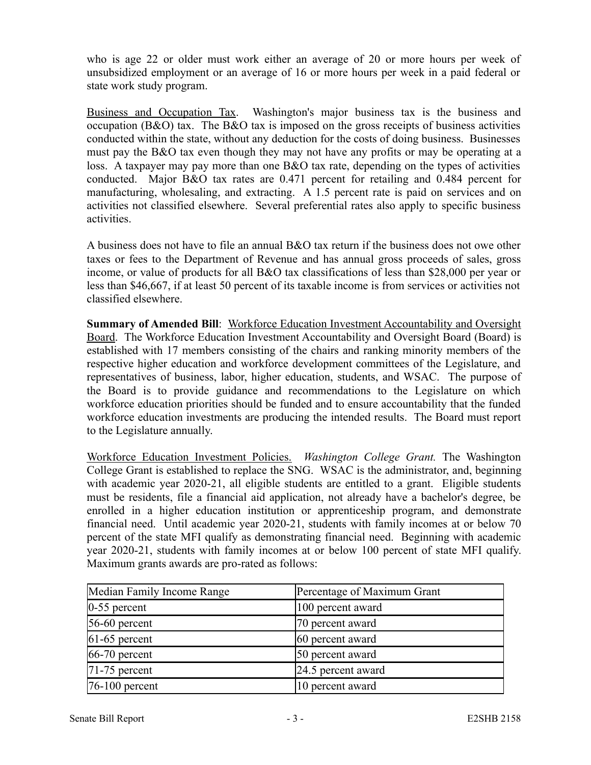who is age 22 or older must work either an average of 20 or more hours per week of unsubsidized employment or an average of 16 or more hours per week in a paid federal or state work study program.

Business and Occupation Tax. Washington's major business tax is the business and occupation (B&O) tax. The B&O tax is imposed on the gross receipts of business activities conducted within the state, without any deduction for the costs of doing business. Businesses must pay the B&O tax even though they may not have any profits or may be operating at a loss. A taxpayer may pay more than one B&O tax rate, depending on the types of activities conducted. Major B&O tax rates are 0.471 percent for retailing and 0.484 percent for manufacturing, wholesaling, and extracting. A 1.5 percent rate is paid on services and on activities not classified elsewhere. Several preferential rates also apply to specific business activities.

A business does not have to file an annual B&O tax return if the business does not owe other taxes or fees to the Department of Revenue and has annual gross proceeds of sales, gross income, or value of products for all B&O tax classifications of less than \$28,000 per year or less than \$46,667, if at least 50 percent of its taxable income is from services or activities not classified elsewhere.

**Summary of Amended Bill: Workforce Education Investment Accountability and Oversight** Board. The Workforce Education Investment Accountability and Oversight Board (Board) is established with 17 members consisting of the chairs and ranking minority members of the respective higher education and workforce development committees of the Legislature, and representatives of business, labor, higher education, students, and WSAC. The purpose of the Board is to provide guidance and recommendations to the Legislature on which workforce education priorities should be funded and to ensure accountability that the funded workforce education investments are producing the intended results. The Board must report to the Legislature annually.

Workforce Education Investment Policies. *Washington College Grant.* The Washington College Grant is established to replace the SNG. WSAC is the administrator, and, beginning with academic year 2020-21, all eligible students are entitled to a grant. Eligible students must be residents, file a financial aid application, not already have a bachelor's degree, be enrolled in a higher education institution or apprenticeship program, and demonstrate financial need. Until academic year 2020-21, students with family incomes at or below 70 percent of the state MFI qualify as demonstrating financial need. Beginning with academic year 2020-21, students with family incomes at or below 100 percent of state MFI qualify. Maximum grants awards are pro-rated as follows:

| Median Family Income Range | Percentage of Maximum Grant |
|----------------------------|-----------------------------|
| $ 0-55$ percent            | 100 percent award           |
| $56-60$ percent            | 70 percent award            |
| $61-65$ percent            | 60 percent award            |
| $ 66-70$ percent           | 50 percent award            |
| $ 71-75$ percent           | $[24.5$ percent award       |
| $ 76-100 $ percent         | 10 percent award            |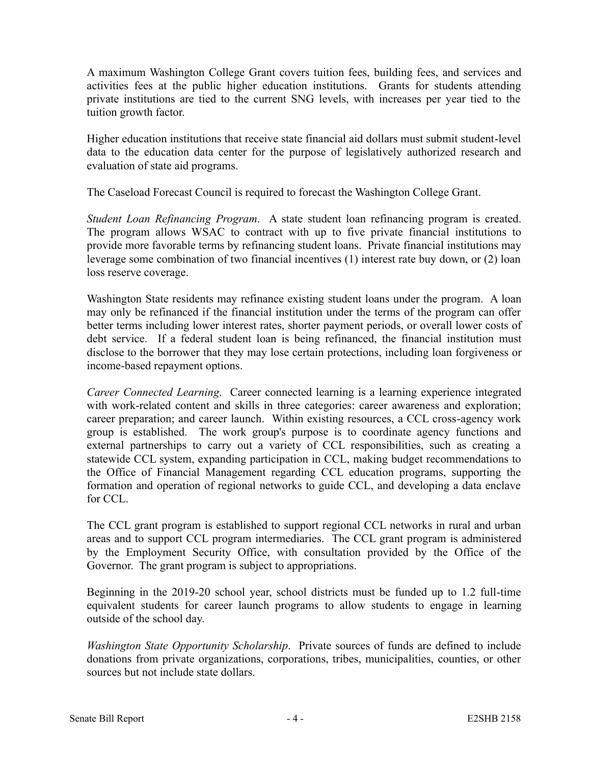A maximum Washington College Grant covers tuition fees, building fees, and services and activities fees at the public higher education institutions. Grants for students attending private institutions are tied to the current SNG levels, with increases per year tied to the tuition growth factor.

Higher education institutions that receive state financial aid dollars must submit student-level data to the education data center for the purpose of legislatively authorized research and evaluation of state aid programs.

The Caseload Forecast Council is required to forecast the Washington College Grant.

*Student Loan Refinancing Program*. A state student loan refinancing program is created. The program allows WSAC to contract with up to five private financial institutions to provide more favorable terms by refinancing student loans. Private financial institutions may leverage some combination of two financial incentives (1) interest rate buy down, or (2) loan loss reserve coverage.

Washington State residents may refinance existing student loans under the program. A loan may only be refinanced if the financial institution under the terms of the program can offer better terms including lower interest rates, shorter payment periods, or overall lower costs of debt service. If a federal student loan is being refinanced, the financial institution must disclose to the borrower that they may lose certain protections, including loan forgiveness or income-based repayment options.

*Career Connected Learning*. Career connected learning is a learning experience integrated with work-related content and skills in three categories: career awareness and exploration; career preparation; and career launch. Within existing resources, a CCL cross-agency work group is established. The work group's purpose is to coordinate agency functions and external partnerships to carry out a variety of CCL responsibilities, such as creating a statewide CCL system, expanding participation in CCL, making budget recommendations to the Office of Financial Management regarding CCL education programs, supporting the formation and operation of regional networks to guide CCL, and developing a data enclave for CCL.

The CCL grant program is established to support regional CCL networks in rural and urban areas and to support CCL program intermediaries. The CCL grant program is administered by the Employment Security Office, with consultation provided by the Office of the Governor. The grant program is subject to appropriations.

Beginning in the 2019-20 school year, school districts must be funded up to 1.2 full-time equivalent students for career launch programs to allow students to engage in learning outside of the school day.

*Washington State Opportunity Scholarship*. Private sources of funds are defined to include donations from private organizations, corporations, tribes, municipalities, counties, or other sources but not include state dollars.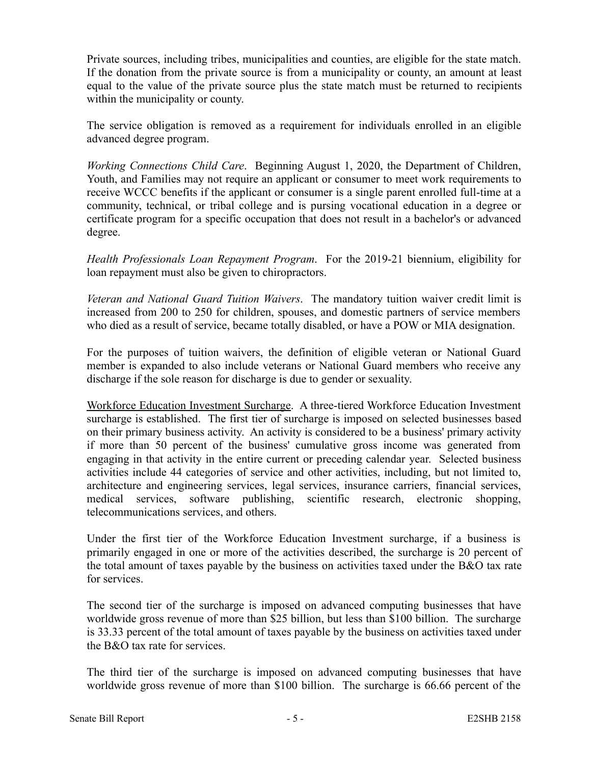Private sources, including tribes, municipalities and counties, are eligible for the state match. If the donation from the private source is from a municipality or county, an amount at least equal to the value of the private source plus the state match must be returned to recipients within the municipality or county.

The service obligation is removed as a requirement for individuals enrolled in an eligible advanced degree program.

*Working Connections Child Care*. Beginning August 1, 2020, the Department of Children, Youth, and Families may not require an applicant or consumer to meet work requirements to receive WCCC benefits if the applicant or consumer is a single parent enrolled full-time at a community, technical, or tribal college and is pursing vocational education in a degree or certificate program for a specific occupation that does not result in a bachelor's or advanced degree.

*Health Professionals Loan Repayment Program*. For the 2019-21 biennium, eligibility for loan repayment must also be given to chiropractors.

*Veteran and National Guard Tuition Waivers*. The mandatory tuition waiver credit limit is increased from 200 to 250 for children, spouses, and domestic partners of service members who died as a result of service, became totally disabled, or have a POW or MIA designation.

For the purposes of tuition waivers, the definition of eligible veteran or National Guard member is expanded to also include veterans or National Guard members who receive any discharge if the sole reason for discharge is due to gender or sexuality.

Workforce Education Investment Surcharge. A three-tiered Workforce Education Investment surcharge is established. The first tier of surcharge is imposed on selected businesses based on their primary business activity. An activity is considered to be a business' primary activity if more than 50 percent of the business' cumulative gross income was generated from engaging in that activity in the entire current or preceding calendar year. Selected business activities include 44 categories of service and other activities, including, but not limited to, architecture and engineering services, legal services, insurance carriers, financial services, medical services, software publishing, scientific research, electronic shopping, telecommunications services, and others.

Under the first tier of the Workforce Education Investment surcharge, if a business is primarily engaged in one or more of the activities described, the surcharge is 20 percent of the total amount of taxes payable by the business on activities taxed under the B&O tax rate for services.

The second tier of the surcharge is imposed on advanced computing businesses that have worldwide gross revenue of more than \$25 billion, but less than \$100 billion. The surcharge is 33.33 percent of the total amount of taxes payable by the business on activities taxed under the B&O tax rate for services.

The third tier of the surcharge is imposed on advanced computing businesses that have worldwide gross revenue of more than \$100 billion. The surcharge is 66.66 percent of the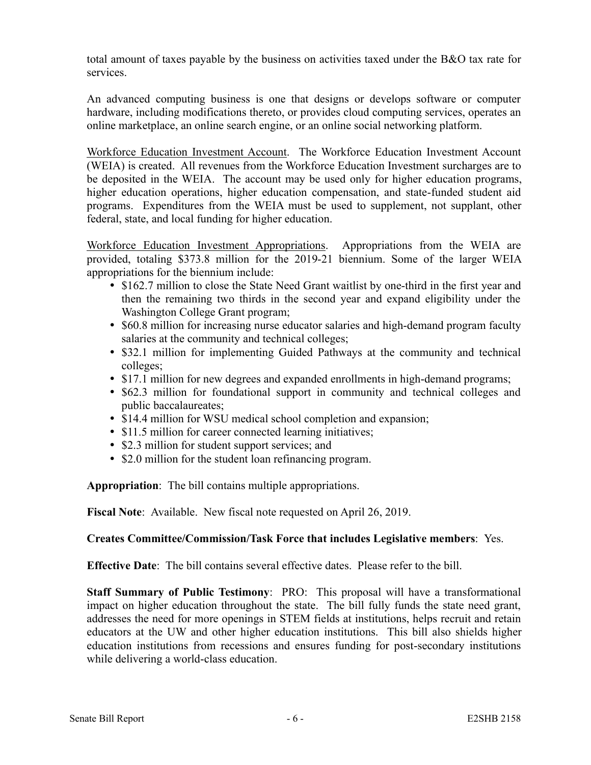total amount of taxes payable by the business on activities taxed under the B&O tax rate for services.

An advanced computing business is one that designs or develops software or computer hardware, including modifications thereto, or provides cloud computing services, operates an online marketplace, an online search engine, or an online social networking platform.

Workforce Education Investment Account. The Workforce Education Investment Account (WEIA) is created. All revenues from the Workforce Education Investment surcharges are to be deposited in the WEIA. The account may be used only for higher education programs, higher education operations, higher education compensation, and state-funded student aid programs. Expenditures from the WEIA must be used to supplement, not supplant, other federal, state, and local funding for higher education.

Workforce Education Investment Appropriations. Appropriations from the WEIA are provided, totaling \$373.8 million for the 2019-21 biennium. Some of the larger WEIA appropriations for the biennium include:

- \$162.7 million to close the State Need Grant waitlist by one-third in the first year and then the remaining two thirds in the second year and expand eligibility under the Washington College Grant program;
- \$60.8 million for increasing nurse educator salaries and high-demand program faculty salaries at the community and technical colleges;
- \$32.1 million for implementing Guided Pathways at the community and technical colleges;
- \$17.1 million for new degrees and expanded enrollments in high-demand programs;
- \$62.3 million for foundational support in community and technical colleges and public baccalaureates;
- \$14.4 million for WSU medical school completion and expansion;
- \$11.5 million for career connected learning initiatives;
- \$2.3 million for student support services; and
- \$2.0 million for the student loan refinancing program.

**Appropriation**: The bill contains multiple appropriations.

**Fiscal Note**: Available. New fiscal note requested on April 26, 2019.

# **Creates Committee/Commission/Task Force that includes Legislative members**: Yes.

**Effective Date**: The bill contains several effective dates. Please refer to the bill.

**Staff Summary of Public Testimony**: PRO: This proposal will have a transformational impact on higher education throughout the state. The bill fully funds the state need grant, addresses the need for more openings in STEM fields at institutions, helps recruit and retain educators at the UW and other higher education institutions. This bill also shields higher education institutions from recessions and ensures funding for post-secondary institutions while delivering a world-class education.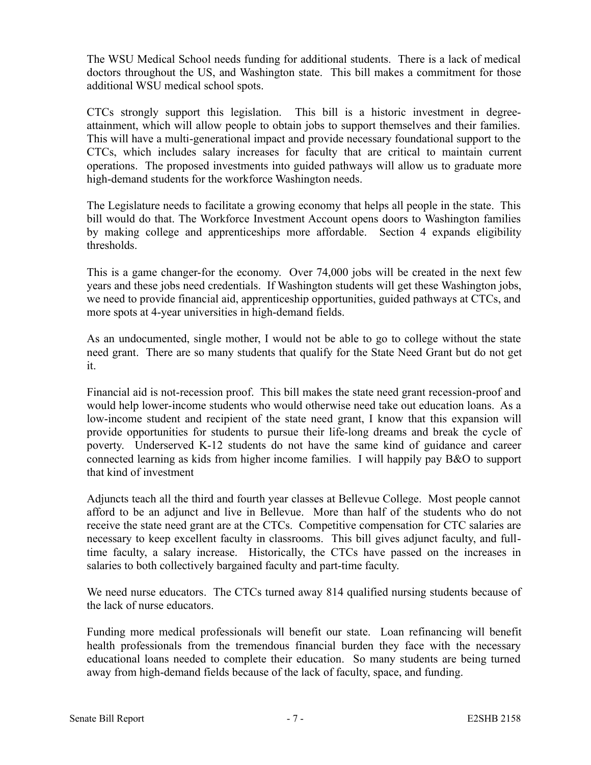The WSU Medical School needs funding for additional students. There is a lack of medical doctors throughout the US, and Washington state. This bill makes a commitment for those additional WSU medical school spots.

CTCs strongly support this legislation. This bill is a historic investment in degreeattainment, which will allow people to obtain jobs to support themselves and their families. This will have a multi-generational impact and provide necessary foundational support to the CTCs, which includes salary increases for faculty that are critical to maintain current operations. The proposed investments into guided pathways will allow us to graduate more high-demand students for the workforce Washington needs.

The Legislature needs to facilitate a growing economy that helps all people in the state. This bill would do that. The Workforce Investment Account opens doors to Washington families by making college and apprenticeships more affordable. Section 4 expands eligibility thresholds.

This is a game changer-for the economy. Over 74,000 jobs will be created in the next few years and these jobs need credentials. If Washington students will get these Washington jobs, we need to provide financial aid, apprenticeship opportunities, guided pathways at CTCs, and more spots at 4-year universities in high-demand fields.

As an undocumented, single mother, I would not be able to go to college without the state need grant. There are so many students that qualify for the State Need Grant but do not get it.

Financial aid is not-recession proof. This bill makes the state need grant recession-proof and would help lower-income students who would otherwise need take out education loans. As a low-income student and recipient of the state need grant, I know that this expansion will provide opportunities for students to pursue their life-long dreams and break the cycle of poverty. Underserved K-12 students do not have the same kind of guidance and career connected learning as kids from higher income families. I will happily pay B&O to support that kind of investment

Adjuncts teach all the third and fourth year classes at Bellevue College. Most people cannot afford to be an adjunct and live in Bellevue. More than half of the students who do not receive the state need grant are at the CTCs. Competitive compensation for CTC salaries are necessary to keep excellent faculty in classrooms. This bill gives adjunct faculty, and fulltime faculty, a salary increase. Historically, the CTCs have passed on the increases in salaries to both collectively bargained faculty and part-time faculty.

We need nurse educators. The CTCs turned away 814 qualified nursing students because of the lack of nurse educators.

Funding more medical professionals will benefit our state. Loan refinancing will benefit health professionals from the tremendous financial burden they face with the necessary educational loans needed to complete their education. So many students are being turned away from high-demand fields because of the lack of faculty, space, and funding.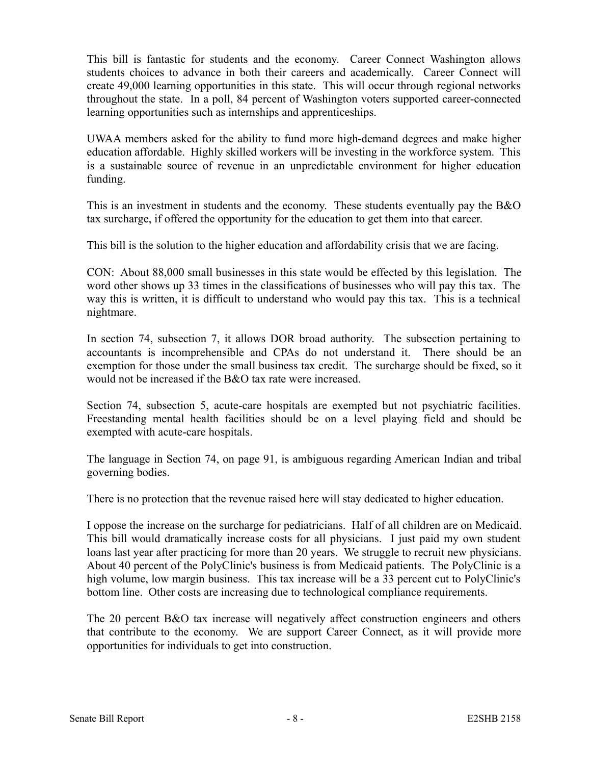This bill is fantastic for students and the economy. Career Connect Washington allows students choices to advance in both their careers and academically. Career Connect will create 49,000 learning opportunities in this state. This will occur through regional networks throughout the state. In a poll, 84 percent of Washington voters supported career-connected learning opportunities such as internships and apprenticeships.

UWAA members asked for the ability to fund more high-demand degrees and make higher education affordable. Highly skilled workers will be investing in the workforce system. This is a sustainable source of revenue in an unpredictable environment for higher education funding.

This is an investment in students and the economy. These students eventually pay the B&O tax surcharge, if offered the opportunity for the education to get them into that career.

This bill is the solution to the higher education and affordability crisis that we are facing.

CON: About 88,000 small businesses in this state would be effected by this legislation. The word other shows up 33 times in the classifications of businesses who will pay this tax. The way this is written, it is difficult to understand who would pay this tax. This is a technical nightmare.

In section 74, subsection 7, it allows DOR broad authority. The subsection pertaining to accountants is incomprehensible and CPAs do not understand it. There should be an exemption for those under the small business tax credit. The surcharge should be fixed, so it would not be increased if the B&O tax rate were increased.

Section 74, subsection 5, acute-care hospitals are exempted but not psychiatric facilities. Freestanding mental health facilities should be on a level playing field and should be exempted with acute-care hospitals.

The language in Section 74, on page 91, is ambiguous regarding American Indian and tribal governing bodies.

There is no protection that the revenue raised here will stay dedicated to higher education.

I oppose the increase on the surcharge for pediatricians. Half of all children are on Medicaid. This bill would dramatically increase costs for all physicians. I just paid my own student loans last year after practicing for more than 20 years. We struggle to recruit new physicians. About 40 percent of the PolyClinic's business is from Medicaid patients. The PolyClinic is a high volume, low margin business. This tax increase will be a 33 percent cut to PolyClinic's bottom line. Other costs are increasing due to technological compliance requirements.

The 20 percent B&O tax increase will negatively affect construction engineers and others that contribute to the economy. We are support Career Connect, as it will provide more opportunities for individuals to get into construction.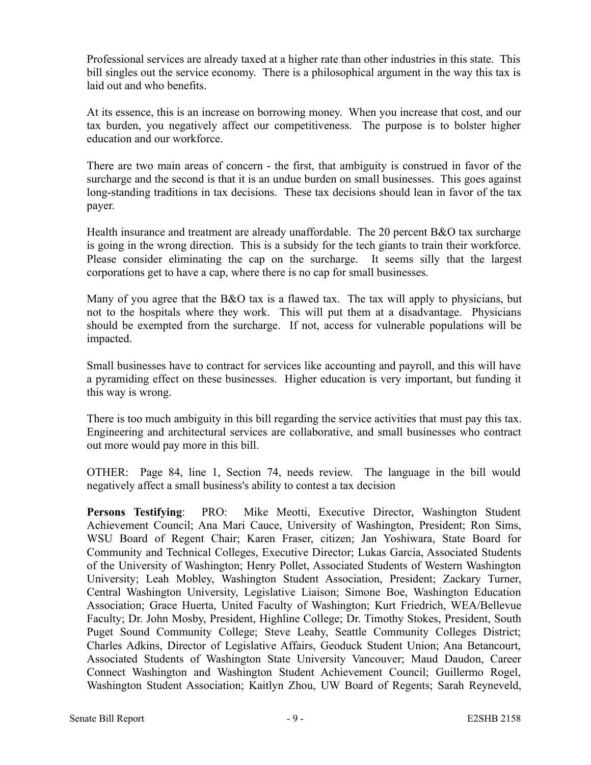Professional services are already taxed at a higher rate than other industries in this state. This bill singles out the service economy. There is a philosophical argument in the way this tax is laid out and who benefits.

At its essence, this is an increase on borrowing money. When you increase that cost, and our tax burden, you negatively affect our competitiveness. The purpose is to bolster higher education and our workforce.

There are two main areas of concern - the first, that ambiguity is construed in favor of the surcharge and the second is that it is an undue burden on small businesses. This goes against long-standing traditions in tax decisions. These tax decisions should lean in favor of the tax payer.

Health insurance and treatment are already unaffordable. The 20 percent B&O tax surcharge is going in the wrong direction. This is a subsidy for the tech giants to train their workforce. Please consider eliminating the cap on the surcharge. It seems silly that the largest corporations get to have a cap, where there is no cap for small businesses.

Many of you agree that the B&O tax is a flawed tax. The tax will apply to physicians, but not to the hospitals where they work. This will put them at a disadvantage. Physicians should be exempted from the surcharge. If not, access for vulnerable populations will be impacted.

Small businesses have to contract for services like accounting and payroll, and this will have a pyramiding effect on these businesses. Higher education is very important, but funding it this way is wrong.

There is too much ambiguity in this bill regarding the service activities that must pay this tax. Engineering and architectural services are collaborative, and small businesses who contract out more would pay more in this bill.

OTHER: Page 84, line 1, Section 74, needs review. The language in the bill would negatively affect a small business's ability to contest a tax decision

**Persons Testifying**: PRO: Mike Meotti, Executive Director, Washington Student Achievement Council; Ana Mari Cauce, University of Washington, President; Ron Sims, WSU Board of Regent Chair; Karen Fraser, citizen; Jan Yoshiwara, State Board for Community and Technical Colleges, Executive Director; Lukas Garcia, Associated Students of the University of Washington; Henry Pollet, Associated Students of Western Washington University; Leah Mobley, Washington Student Association, President; Zackary Turner, Central Washington University, Legislative Liaison; Simone Boe, Washington Education Association; Grace Huerta, United Faculty of Washington; Kurt Friedrich, WEA/Bellevue Faculty; Dr. John Mosby, President, Highline College; Dr. Timothy Stokes, President, South Puget Sound Community College; Steve Leahy, Seattle Community Colleges District; Charles Adkins, Director of Legislative Affairs, Geoduck Student Union; Ana Betancourt, Associated Students of Washington State University Vancouver; Maud Daudon, Career Connect Washington and Washington Student Achievement Council; Guillermo Rogel, Washington Student Association; Kaitlyn Zhou, UW Board of Regents; Sarah Reyneveld,